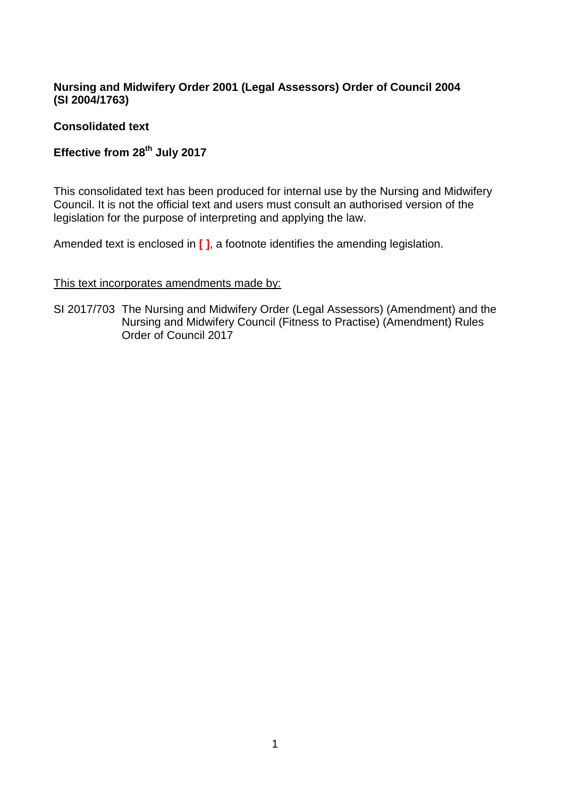## **Nursing and Midwifery Order 2001 (Legal Assessors) Order of Council 2004 (SI 2004/1763)**

## **Consolidated text**

# **Effective from 28th July 2017**

This consolidated text has been produced for internal use by the Nursing and Midwifery Council. It is not the official text and users must consult an authorised version of the legislation for the purpose of interpreting and applying the law.

Amended text is enclosed in **[ ]**, a footnote identifies the amending legislation.

#### This text incorporates amendments made by:

SI 2017/703 The Nursing and Midwifery Order (Legal Assessors) (Amendment) and the Nursing and Midwifery Council (Fitness to Practise) (Amendment) Rules Order of Council 2017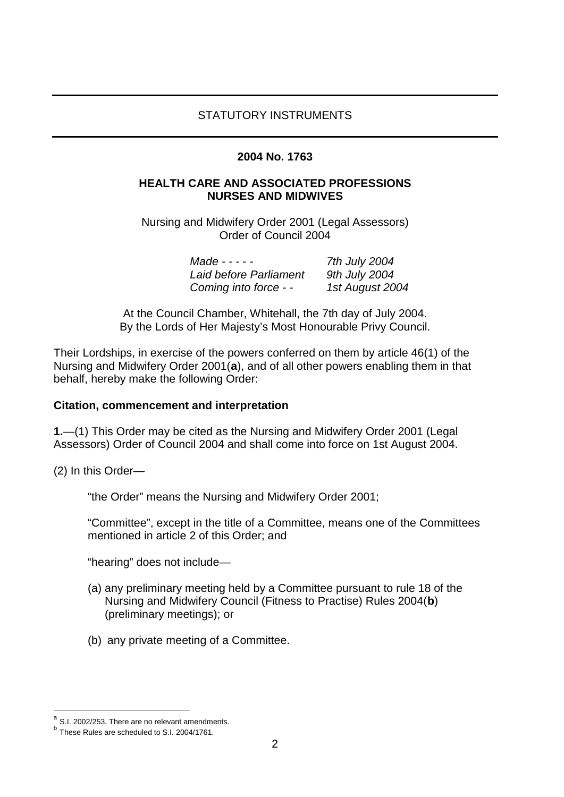#### STATUTORY INSTRUMENTS

#### **2004 No. 1763**

#### **HEALTH CARE AND ASSOCIATED PROFESSIONS NURSES AND MIDWIVES**

Nursing and Midwifery Order 2001 (Legal Assessors) Order of Council 2004

| $Made - - - -$         | 7th July 2004   |
|------------------------|-----------------|
| Laid before Parliament | 9th July 2004   |
| Coming into force - -  | 1st August 2004 |

At the Council Chamber, Whitehall, the 7th day of July 2004. By the Lords of Her Majesty's Most Honourable Privy Council.

Their Lordships, in exercise of the powers conferred on them by article 46(1) of the Nursing and Midwifery Order 2001(**[a](#page-1-0)**), and of all other powers enabling them in that behalf, hereby make the following Order:

#### **Citation, commencement and interpretation**

**1.**—(1) This Order may be cited as the Nursing and Midwifery Order 2001 (Legal Assessors) Order of Council 2004 and shall come into force on 1st August 2004.

(2) In this Order—

"the Order" means the Nursing and Midwifery Order 2001;

"Committee", except in the title of a Committee, means one of the Committees mentioned in article 2 of this Order; and

"hearing" does not include—

- (a) any preliminary meeting held by a Committee pursuant to rule 18 of the Nursing and Midwifery Council (Fitness to Practise) Rules 2004(**[b](#page-1-1)**) (preliminary meetings); or
- (b) any private meeting of a Committee.

 $a$  S.I. 2002/253. There are no relevant amendments.

<span id="page-1-1"></span><span id="page-1-0"></span> $b$  These Rules are scheduled to S.I. 2004/1761.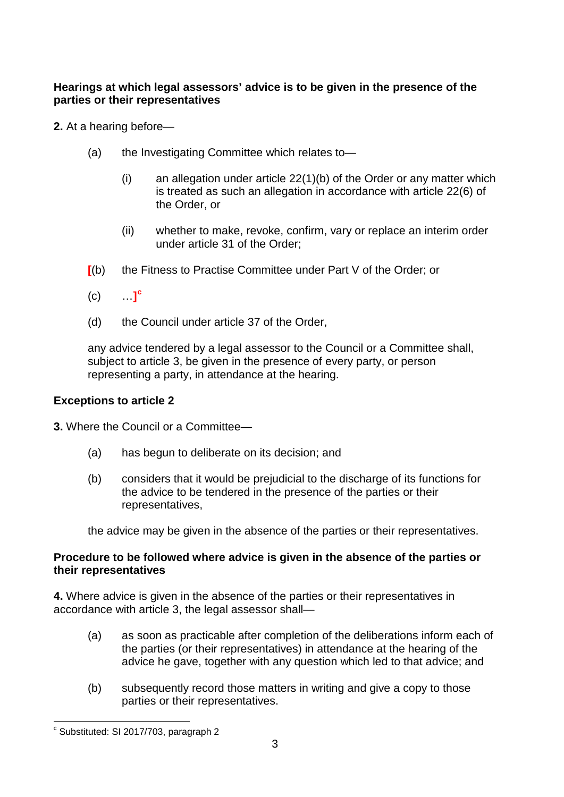## **Hearings at which legal assessors' advice is to be given in the presence of the parties or their representatives**

**2.** At a hearing before—

- (a) the Investigating Committee which relates to—
	- (i) an allegation under article 22(1)(b) of the Order or any matter which is treated as such an allegation in accordance with article 22(6) of the Order, or
	- (ii) whether to make, revoke, confirm, vary or replace an interim order under article 31 of the Order;
- **[**(b) the Fitness to Practise Committee under Part V of the Order; or
- $(C)$  $\mathbf{L}$
- (d) the Council under article 37 of the Order,

any advice tendered by a legal assessor to the Council or a Committee shall, subject to article 3, be given in the presence of every party, or person representing a party, in attendance at the hearing.

## **Exceptions to article 2**

**3.** Where the Council or a Committee—

- (a) has begun to deliberate on its decision; and
- (b) considers that it would be prejudicial to the discharge of its functions for the advice to be tendered in the presence of the parties or their representatives,

the advice may be given in the absence of the parties or their representatives.

### **Procedure to be followed where advice is given in the absence of the parties or their representatives**

**4.** Where advice is given in the absence of the parties or their representatives in accordance with article 3, the legal assessor shall—

- (a) as soon as practicable after completion of the deliberations inform each of the parties (or their representatives) in attendance at the hearing of the advice he gave, together with any question which led to that advice; and
- (b) subsequently record those matters in writing and give a copy to those parties or their representatives.

<span id="page-2-0"></span>c Substituted: SI 2017/703, paragraph 2